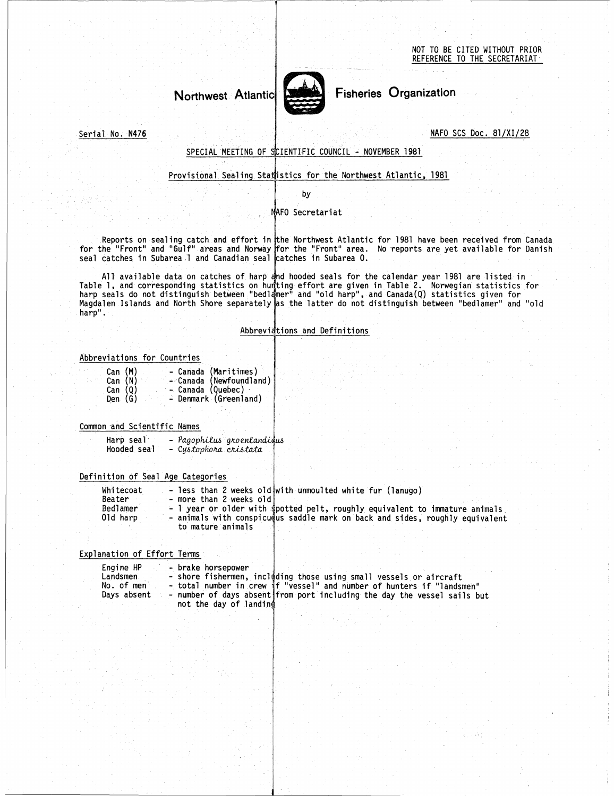NOT TO BE CITED WITHOUT PRIOR REFERENCE TO THE SECRETARIAT



Serial No. N476

# SPECIAL MEETING OF SCIENTIFIC COUNCIL - NOVEMBER 1981

## Provisional Sealing Statistics for the Northwest Atlantic, 1981

by

### NAFO Secretariat

Reports on sealing catch and effort in <mark>the Northwest Atlantic for 1981 have been received from Canada.</mark> for the "Front" and "Gulf" areas and Norway for the "Front" area. No reports are yet available for Danish seal catches in Subarea 1 and Canadian seal catches in Subarea 0.

All available data on catches of harp and hooded seals for the calendar year 1981 are listed in Reports on sealing catch and effort in the Northwest Atlantic for 1981 have been received from Can<br>for the "Front" and "Gulf" areas and Norway for the "Front" area. No reports are yet available for Dan<br>seal catches in Suba harp seals do not distinguish between "bedlamer" and "old harp", and Canada(Q) statistics given for Magdalen Islands and North Shore separately as the latter do not distinguish between "bedlamer" and "old harp".

## Abbreviations and Definitions

### Abbreviations for Countries

| $\alpha$ . The state of the term of the second $\alpha$ and $\alpha$                                                                        |  |
|---------------------------------------------------------------------------------------------------------------------------------------------|--|
|                                                                                                                                             |  |
| Abbreviati                                                                                                                                  |  |
|                                                                                                                                             |  |
| viations for Countries                                                                                                                      |  |
| - Canada (Maritimes)<br>Can (M)<br>- Canada (Newfoundland)<br>Can (N)<br>- Canada (Quebec) -<br>Can (Q)<br>- Denmark (Greenland)<br>Den (G) |  |
| on and Scientific Names                                                                                                                     |  |
| Harp seal - Pagophilus groenlandicus<br>Hooded seal - Cystophora cristata                                                                   |  |
| ition of Seal Age Categories                                                                                                                |  |

### Common and Scientific Names

| Harp seal   | – Pagophilus groenlandieus |  |
|-------------|----------------------------|--|
| Hooded seal | Cystophora cristata        |  |

# Definition of Seal Age Categories

| eviations for Countries                                              |                                                                                                                                                                                                                                                                          |  |  |
|----------------------------------------------------------------------|--------------------------------------------------------------------------------------------------------------------------------------------------------------------------------------------------------------------------------------------------------------------------|--|--|
| Can (M)<br>Can $(N)$<br>Can (Q)<br>$\ddot{\phantom{a}}$<br>Den $(G)$ | - Canada (Maritimes)<br>- Canada (Newfoundland)<br>- Canada (Quebec)<br>- Denmark (Greenland)                                                                                                                                                                            |  |  |
|                                                                      |                                                                                                                                                                                                                                                                          |  |  |
| on and Scientific Names                                              |                                                                                                                                                                                                                                                                          |  |  |
| Harp seal<br>Hooded seal                                             | - Pagophilus groenlandidus<br>- Cystophora cristata                                                                                                                                                                                                                      |  |  |
|                                                                      |                                                                                                                                                                                                                                                                          |  |  |
| nition of Seal Age Categories                                        |                                                                                                                                                                                                                                                                          |  |  |
| Whitecoat<br>Beater<br>Bedlamer<br>Old harp                          | - less than 2 weeks old with unmoulted white fur (lanugo)<br>- more than 2 weeks old<br>- I year or older with spotted pelt, roughly equivalent to immature animals<br>- animals with conspicu@us saddle mark on back and sides, roughly equivalent<br>to mature animals |  |  |
|                                                                      |                                                                                                                                                                                                                                                                          |  |  |
| anation of Effort Terms                                              |                                                                                                                                                                                                                                                                          |  |  |
| Engine HP<br>Landsmen<br>No. of men<br>Days absent                   | - brake horsepower<br>- shore fishermen, including those using small vessels or aircraft<br>- total number in crew if "vessel" and number of hunters if "landsmen"<br>- number of days absent from port including the day the vessel sails but<br>not the day of landing |  |  |
|                                                                      |                                                                                                                                                                                                                                                                          |  |  |

## Explanation of Effort Terms

| Engine HP   | - brake horsepower                                                       |
|-------------|--------------------------------------------------------------------------|
| Landsmen    | - shore fishermen, including those using small vessels or aircraft       |
| No. of men  | - total number in crew if "vessel" and number of hunters if "landsmen"   |
| Days absent | - number of days absent from port including the day the vessel sails but |
|             | not the day of landing                                                   |